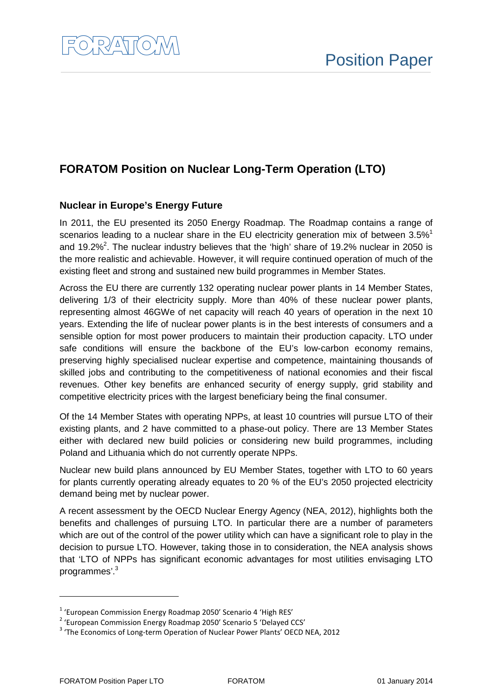# **FORATOM Position on Nuclear Long-Term Operation (LTO)**

### **Nuclear in Europe's Energy Future**

In 2011, the EU presented its 2050 Energy Roadmap. The Roadmap contains a range of scenarios leading to a nuclear share in the EU electricity generation mix of between  $3.5\%$ <sup>1</sup> and 19.2%<sup>2</sup>. The nuclear industry believes that the 'high' share of 19.2% nuclear in 2050 is the more realistic and achievable. However, it will require continued operation of much of the existing fleet and strong and sustained new build programmes in Member States.

Across the EU there are currently 132 operating nuclear power plants in 14 Member States, delivering 1/3 of their electricity supply. More than 40% of these nuclear power plants, representing almost 46GWe of net capacity will reach 40 years of operation in the next 10 years. Extending the life of nuclear power plants is in the best interests of consumers and a sensible option for most power producers to maintain their production capacity. LTO under safe conditions will ensure the backbone of the EU's low-carbon economy remains, preserving highly specialised nuclear expertise and competence, maintaining thousands of skilled jobs and contributing to the competitiveness of national economies and their fiscal revenues. Other key benefits are enhanced security of energy supply, grid stability and competitive electricity prices with the largest beneficiary being the final consumer.

Of the 14 Member States with operating NPPs, at least 10 countries will pursue LTO of their existing plants, and 2 have committed to a phase-out policy. There are 13 Member States either with declared new build policies or considering new build programmes, including Poland and Lithuania which do not currently operate NPPs.

Nuclear new build plans announced by EU Member States, together with LTO to 60 years for plants currently operating already equates to 20 % of the EU's 2050 projected electricity demand being met by nuclear power.

A recent assessment by the OECD Nuclear Energy Agency (NEA, 2012), highlights both the benefits and challenges of pursuing LTO. In particular there are a number of parameters which are out of the control of the power utility which can have a significant role to play in the decision to pursue LTO. However, taking those in to consideration, the NEA analysis shows that 'LTO of NPPs has significant economic advantages for most utilities envisaging LTO programmes'.<sup>3</sup>

 $\overline{a}$ 

<sup>&</sup>lt;sup>1</sup> 'European Commission Energy Roadmap 2050' Scenario 4 'High RES'

<sup>&</sup>lt;sup>2</sup> 'European Commission Energy Roadmap 2050' Scenario 5 'Delayed CCS'

<sup>&</sup>lt;sup>3</sup> 'The Economics of Long-term Operation of Nuclear Power Plants' OECD NEA, 2012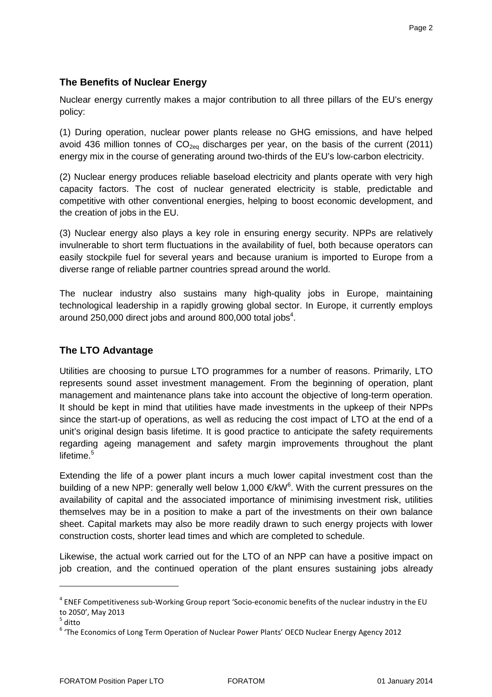### **The Benefits of Nuclear Energy**

Nuclear energy currently makes a major contribution to all three pillars of the EU's energy policy:

(1) During operation, nuclear power plants release no GHG emissions, and have helped avoid 436 million tonnes of  $CO<sub>2ea</sub>$  discharges per year, on the basis of the current (2011) energy mix in the course of generating around two-thirds of the EU's low-carbon electricity.

(2) Nuclear energy produces reliable baseload electricity and plants operate with very high capacity factors. The cost of nuclear generated electricity is stable, predictable and competitive with other conventional energies, helping to boost economic development, and the creation of jobs in the EU.

(3) Nuclear energy also plays a key role in ensuring energy security. NPPs are relatively invulnerable to short term fluctuations in the availability of fuel, both because operators can easily stockpile fuel for several years and because uranium is imported to Europe from a diverse range of reliable partner countries spread around the world.

The nuclear industry also sustains many high-quality jobs in Europe, maintaining technological leadership in a rapidly growing global sector. In Europe, it currently employs around 250,000 direct jobs and around 800,000 total jobs<sup>4</sup>.

## **The LTO Advantage**

Utilities are choosing to pursue LTO programmes for a number of reasons. Primarily, LTO represents sound asset investment management. From the beginning of operation, plant management and maintenance plans take into account the objective of long-term operation. It should be kept in mind that utilities have made investments in the upkeep of their NPPs since the start-up of operations, as well as reducing the cost impact of LTO at the end of a unit's original design basis lifetime. It is good practice to anticipate the safety requirements regarding ageing management and safety margin improvements throughout the plant lifetime.<sup>5</sup>

Extending the life of a power plant incurs a much lower capital investment cost than the building of a new NPP: generally well below 1,000 €/kW<sup>6</sup> . With the current pressures on the availability of capital and the associated importance of minimising investment risk, utilities themselves may be in a position to make a part of the investments on their own balance sheet. Capital markets may also be more readily drawn to such energy projects with lower construction costs, shorter lead times and which are completed to schedule.

Likewise, the actual work carried out for the LTO of an NPP can have a positive impact on job creation, and the continued operation of the plant ensures sustaining jobs already

 $^4$  ENEF Competitiveness sub-Working Group report 'Socio-economic benefits of the nuclear industry in the EU to 2050', May 2013

 $^5$  ditto

<sup>&</sup>lt;sup>6</sup> 'The Economics of Long Term Operation of Nuclear Power Plants' OECD Nuclear Energy Agency 2012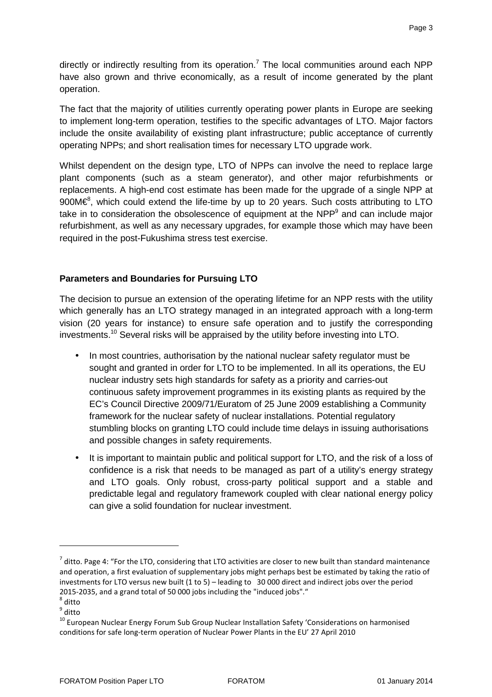directly or indirectly resulting from its operation.<sup>7</sup> The local communities around each NPP have also grown and thrive economically, as a result of income generated by the plant operation.

The fact that the majority of utilities currently operating power plants in Europe are seeking to implement long-term operation, testifies to the specific advantages of LTO. Major factors include the onsite availability of existing plant infrastructure; public acceptance of currently operating NPPs; and short realisation times for necessary LTO upgrade work.

Whilst dependent on the design type, LTO of NPPs can involve the need to replace large plant components (such as a steam generator), and other major refurbishments or replacements. A high-end cost estimate has been made for the upgrade of a single NPP at 900M $\epsilon$ <sup>8</sup>, which could extend the life-time by up to 20 years. Such costs attributing to LTO take in to consideration the obsolescence of equipment at the NPP<sup>9</sup> and can include major refurbishment, as well as any necessary upgrades, for example those which may have been required in the post-Fukushima stress test exercise.

### **Parameters and Boundaries for Pursuing LTO**

The decision to pursue an extension of the operating lifetime for an NPP rests with the utility which generally has an LTO strategy managed in an integrated approach with a long-term vision (20 years for instance) to ensure safe operation and to justify the corresponding investments.<sup>10</sup> Several risks will be appraised by the utility before investing into LTO.

- In most countries, authorisation by the national nuclear safety regulator must be sought and granted in order for LTO to be implemented. In all its operations, the EU nuclear industry sets high standards for safety as a priority and carries-out continuous safety improvement programmes in its existing plants as required by the EC's Council Directive 2009/71/Euratom of 25 June 2009 establishing a Community framework for the nuclear safety of nuclear installations. Potential regulatory stumbling blocks on granting LTO could include time delays in issuing authorisations and possible changes in safety requirements.
- It is important to maintain public and political support for LTO, and the risk of a loss of confidence is a risk that needs to be managed as part of a utility's energy strategy and LTO goals. Only robust, cross-party political support and a stable and predictable legal and regulatory framework coupled with clear national energy policy can give a solid foundation for nuclear investment.

 $\overline{a}$ 

 $^7$  ditto. Page 4: "For the LTO, considering that LTO activities are closer to new built than standard maintenance and operation, a first evaluation of supplementary jobs might perhaps best be estimated by taking the ratio of investments for LTO versus new built (1 to 5) – leading to 30 000 direct and indirect jobs over the period 2015-2035, and a grand total of 50 000 jobs including the "induced jobs"."

 $^8$  ditto

<sup>&</sup>lt;sup>9</sup> ditto

<sup>&</sup>lt;sup>10</sup> European Nuclear Energy Forum Sub Group Nuclear Installation Safety 'Considerations on harmonised conditions for safe long-term operation of Nuclear Power Plants in the EU' 27 April 2010